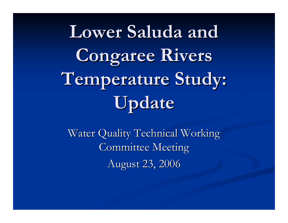**Lower Saluda and Lower Saluda and Congaree Rivers Temperature Study: Temperature Study: Update**

Water Quality Technical Working Committee Meeting August 23, 2006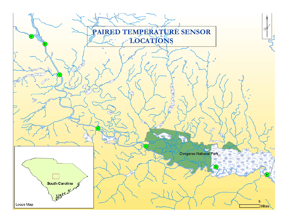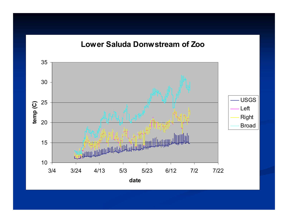#### **Lower Saluda Donwstream of Zoo**

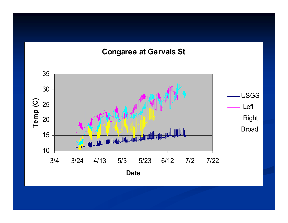#### **Congaree at Gervais St**

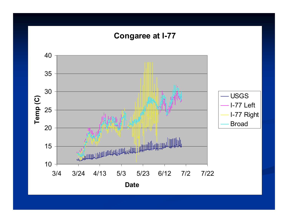## **Congaree at I-77**

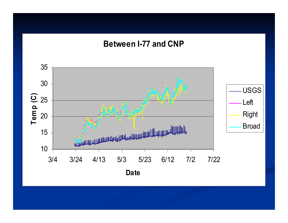### **Between I-77 and CNP**

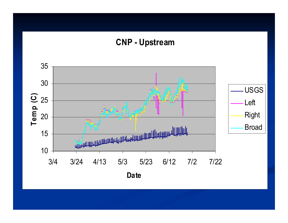## **CNP - Upstream**

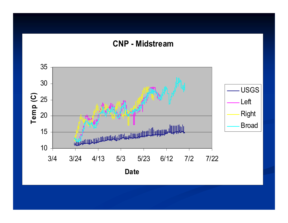#### **CNP - Midstream**

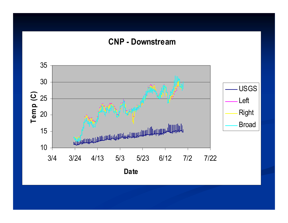### **CNP - Downstream**

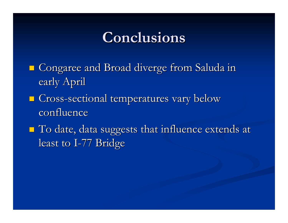# **Conclusions Conclusions**

- Congaree and Broad diverge from Saluda in Congaree and Broad diverge from Saluda in early April
- $\blacksquare$  Cross-sectional temperatures vary below confluence
- $\blacksquare$  To date, data suggests that influence extends at least to I-77 Bridge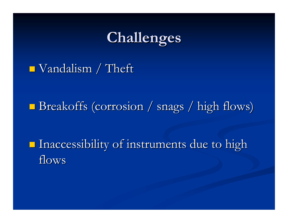# **Challenges Challenges**

#### $\blacksquare$  Vandalism / Theft

#### p. Breakoffs (corrosion / snags / high flows)

**Inaccessibility of instruments due to high** flows